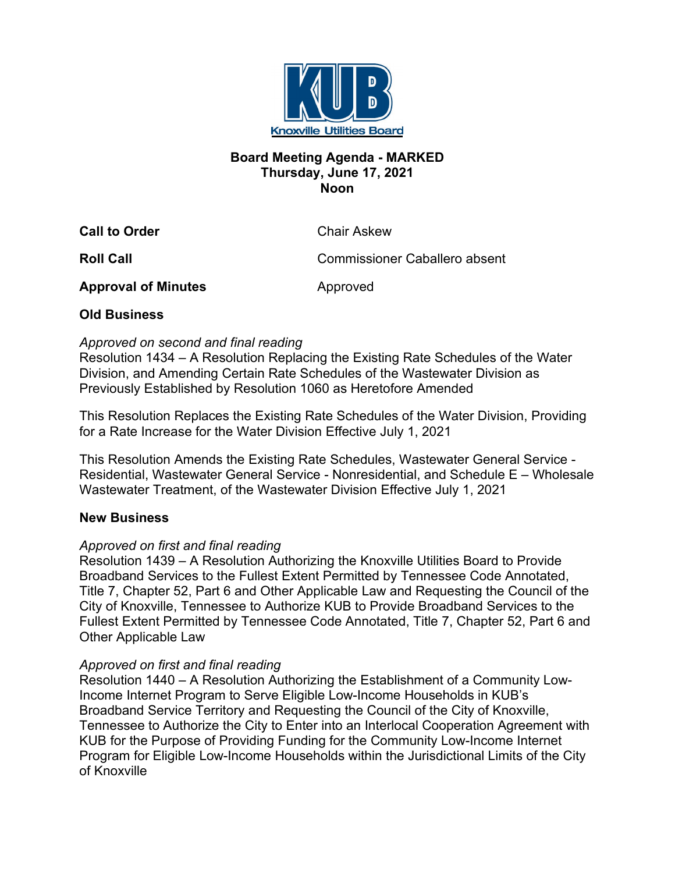

### **Board Meeting Agenda - MARKED Thursday, June 17, 2021 Noon**

**Call to Order** Chair Askew

**Roll Call** Commissioner Caballero absent

**Approval of Minutes Approved** 

# **Old Business**

### *Approved on second and final reading*

Resolution 1434 – A Resolution Replacing the Existing Rate Schedules of the Water Division, and Amending Certain Rate Schedules of the Wastewater Division as Previously Established by Resolution 1060 as Heretofore Amended

This Resolution Replaces the Existing Rate Schedules of the Water Division, Providing for a Rate Increase for the Water Division Effective July 1, 2021

This Resolution Amends the Existing Rate Schedules, Wastewater General Service - Residential, Wastewater General Service - Nonresidential, and Schedule E – Wholesale Wastewater Treatment, of the Wastewater Division Effective July 1, 2021

# **New Business**

#### *Approved on first and final reading*

Resolution 1439 – A Resolution Authorizing the Knoxville Utilities Board to Provide Broadband Services to the Fullest Extent Permitted by Tennessee Code Annotated, Title 7, Chapter 52, Part 6 and Other Applicable Law and Requesting the Council of the City of Knoxville, Tennessee to Authorize KUB to Provide Broadband Services to the Fullest Extent Permitted by Tennessee Code Annotated, Title 7, Chapter 52, Part 6 and Other Applicable Law

#### *Approved on first and final reading*

Resolution 1440 – A Resolution Authorizing the Establishment of a Community Low-Income Internet Program to Serve Eligible Low-Income Households in KUB's Broadband Service Territory and Requesting the Council of the City of Knoxville, Tennessee to Authorize the City to Enter into an Interlocal Cooperation Agreement with KUB for the Purpose of Providing Funding for the Community Low-Income Internet Program for Eligible Low-Income Households within the Jurisdictional Limits of the City of Knoxville